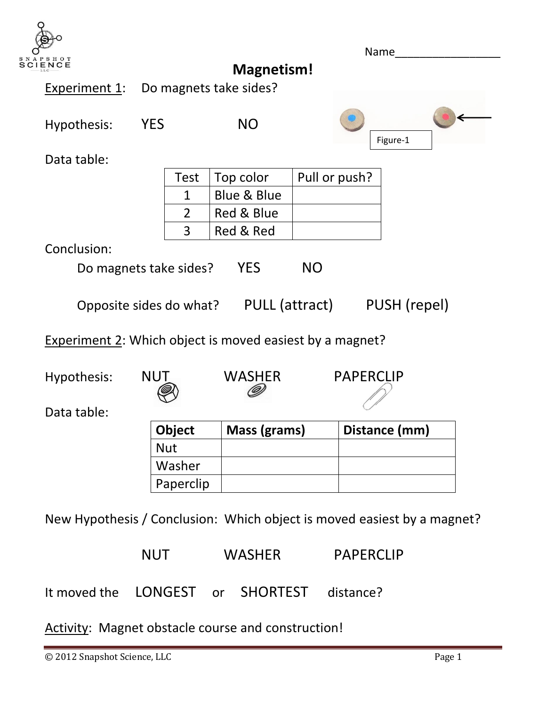

|                                                          |            |             |                                        |               | Name             |  |  |
|----------------------------------------------------------|------------|-------------|----------------------------------------|---------------|------------------|--|--|
| SHOT<br>ENCE                                             |            |             | <b>Magnetism!</b>                      |               |                  |  |  |
| Experiment 1:                                            |            |             | Do magnets take sides?                 |               |                  |  |  |
| Hypothesis:                                              | <b>YES</b> |             | <b>NO</b>                              |               | Figure-1         |  |  |
| Data table:                                              |            |             |                                        |               |                  |  |  |
|                                                          |            | <b>Test</b> | Top color                              | Pull or push? |                  |  |  |
|                                                          |            | $\mathbf 1$ | Blue & Blue                            |               |                  |  |  |
|                                                          |            | 2           | Red & Blue                             |               |                  |  |  |
| 3                                                        |            |             | Red & Red                              |               |                  |  |  |
| Conclusion:                                              |            |             |                                        |               |                  |  |  |
| <b>YES</b><br><b>NO</b><br>Do magnets take sides?        |            |             |                                        |               |                  |  |  |
|                                                          |            |             | Opposite sides do what? PULL (attract) |               | PUSH (repel)     |  |  |
| Experiment 2: Which object is moved easiest by a magnet? |            |             |                                        |               |                  |  |  |
| Hypothesis:                                              | <b>NUT</b> |             | <b>WASHER</b>                          |               | <b>PAPERCLIP</b> |  |  |
| Data table:                                              |            |             |                                        |               |                  |  |  |

| Data table: |  |
|-------------|--|
|-------------|--|

| <b>Object</b> | Mass (grams) | Distance (mm) |
|---------------|--------------|---------------|
| <b>Nut</b>    |              |               |
| Washer        |              |               |
| Paperclip     |              |               |

New Hypothesis / Conclusion: Which object is moved easiest by a magnet?

| NUT. | <b>WASHER</b> |                                            | <b>PAPERCLIP</b> |  |
|------|---------------|--------------------------------------------|------------------|--|
|      |               | It moved the LONGEST or SHORTEST distance? |                  |  |

Activity: Magnet obstacle course and construction!